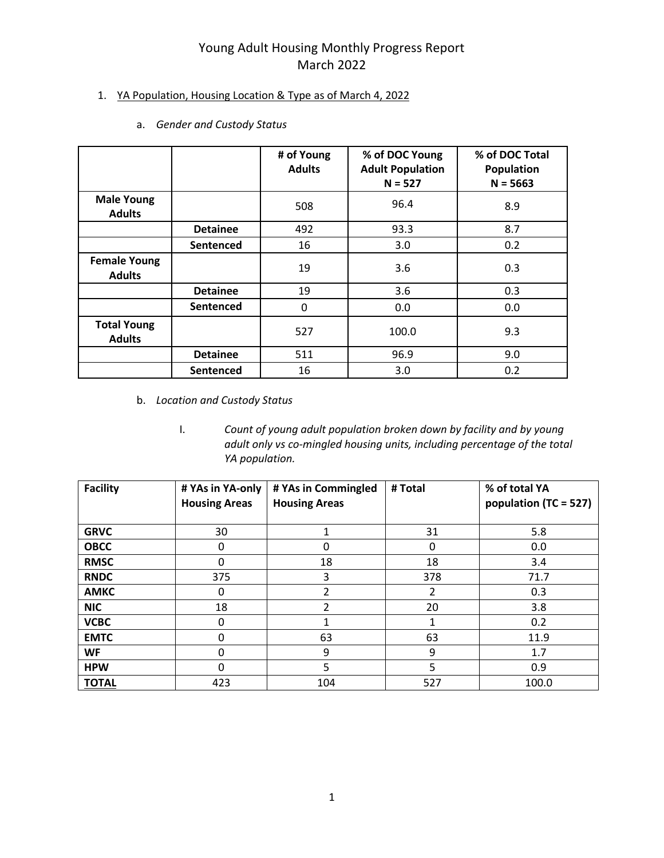### 1. YA Population, Housing Location & Type as of March 4, 2022

|                                      |                 | # of Young<br><b>Adults</b> | % of DOC Young<br><b>Adult Population</b><br>$N = 527$ | % of DOC Total<br>Population<br>$N = 5663$ |
|--------------------------------------|-----------------|-----------------------------|--------------------------------------------------------|--------------------------------------------|
| <b>Male Young</b><br><b>Adults</b>   |                 | 508                         | 96.4                                                   | 8.9                                        |
|                                      | <b>Detainee</b> | 492                         | 93.3                                                   | 8.7                                        |
|                                      | Sentenced       | 16                          | 3.0                                                    | 0.2                                        |
| <b>Female Young</b><br><b>Adults</b> |                 | 19                          | 3.6                                                    | 0.3                                        |
|                                      | <b>Detainee</b> | 19                          | 3.6                                                    | 0.3                                        |
|                                      | Sentenced       | 0                           | 0.0                                                    | 0.0                                        |
| <b>Total Young</b><br><b>Adults</b>  |                 | 527                         | 100.0                                                  | 9.3                                        |
|                                      | <b>Detainee</b> | 511                         | 96.9                                                   | 9.0                                        |
|                                      | Sentenced       | 16                          | 3.0                                                    | 0.2                                        |

a. *Gender and Custody Status* 

- b. *Location and Custody Status*
	- I. *Count of young adult population broken down by facility and by young adult only vs co-mingled housing units, including percentage of the total YA population.*

| <b>Facility</b> | # YAs in YA-only<br><b>Housing Areas</b> | # YAs in Commingled<br><b>Housing Areas</b> | # Total | % of total YA<br>population (TC = 527) |
|-----------------|------------------------------------------|---------------------------------------------|---------|----------------------------------------|
| <b>GRVC</b>     | 30                                       | 1                                           | 31      | 5.8                                    |
| <b>OBCC</b>     | 0                                        | 0                                           | 0       | 0.0                                    |
| <b>RMSC</b>     | $\mathbf{0}$                             | 18                                          | 18      | 3.4                                    |
| <b>RNDC</b>     | 375                                      | 3                                           | 378     | 71.7                                   |
| <b>AMKC</b>     | 0                                        | 2                                           | 2       | 0.3                                    |
| <b>NIC</b>      | 18                                       | 2                                           | 20      | 3.8                                    |
| <b>VCBC</b>     | 0                                        | 1                                           | 1       | 0.2                                    |
| <b>EMTC</b>     | 0                                        | 63                                          | 63      | 11.9                                   |
| <b>WF</b>       | $\mathbf{0}$                             | 9                                           | 9       | 1.7                                    |
| <b>HPW</b>      | 0                                        | 5                                           | 5       | 0.9                                    |
| <b>TOTAL</b>    | 423                                      | 104                                         | 527     | 100.0                                  |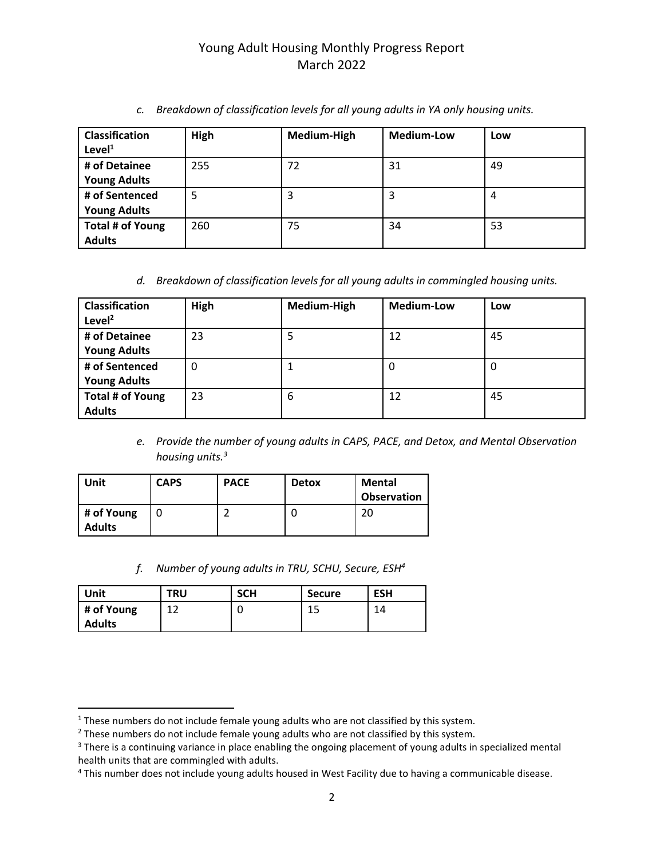| <b>Classification</b><br>Level <sup>1</sup> | High | Medium-High | <b>Medium-Low</b> | Low |
|---------------------------------------------|------|-------------|-------------------|-----|
| # of Detainee                               | 255  | 72          | 31                | 49  |
| <b>Young Adults</b>                         |      |             |                   |     |
| # of Sentenced                              | 5    | 3           | 3                 | 4   |
| <b>Young Adults</b>                         |      |             |                   |     |
| Total # of Young                            | 260  | 75          | 34                | 53  |
| <b>Adults</b>                               |      |             |                   |     |

*c. Breakdown of classification levels for all young adults in YA only housing units.*

*d. Breakdown of classification levels for all young adults in commingled housing units.*

| <b>Classification</b><br>Level $^2$ | High | Medium-High | <b>Medium-Low</b> | Low |
|-------------------------------------|------|-------------|-------------------|-----|
| # of Detainee                       | 23   | 5           | 12                | 45  |
| <b>Young Adults</b>                 |      |             |                   |     |
| # of Sentenced                      | 0    |             | 0                 | O   |
| <b>Young Adults</b>                 |      |             |                   |     |
| Total # of Young                    | 23   | 6           | 12                | 45  |
| <b>Adults</b>                       |      |             |                   |     |

*e. Provide the number of young adults in CAPS, PACE, and Detox, and Mental Observation housing units.<sup>3</sup>*

| Unit                        | <b>CAPS</b> | <b>PACE</b> | <b>Detox</b> | <b>Mental</b><br><b>Observation</b> |
|-----------------------------|-------------|-------------|--------------|-------------------------------------|
| # of Young<br><b>Adults</b> |             |             | U            | 20                                  |

*f. Number of young adults in TRU, SCHU, Secure, ESH<sup>4</sup>*

| Unit          | <b>TRU</b> | <b>SCH</b> | <b>Secure</b> | <b>ESH</b> |
|---------------|------------|------------|---------------|------------|
| # of Young    |            |            | 1 E<br>∸∸     | 14         |
| <b>Adults</b> |            |            |               |            |

<sup>&</sup>lt;sup>1</sup> These numbers do not include female young adults who are not classified by this system.

 $2$  These numbers do not include female young adults who are not classified by this system.

<sup>&</sup>lt;sup>3</sup> There is a continuing variance in place enabling the ongoing placement of young adults in specialized mental health units that are commingled with adults.

<sup>&</sup>lt;sup>4</sup> This number does not include young adults housed in West Facility due to having a communicable disease.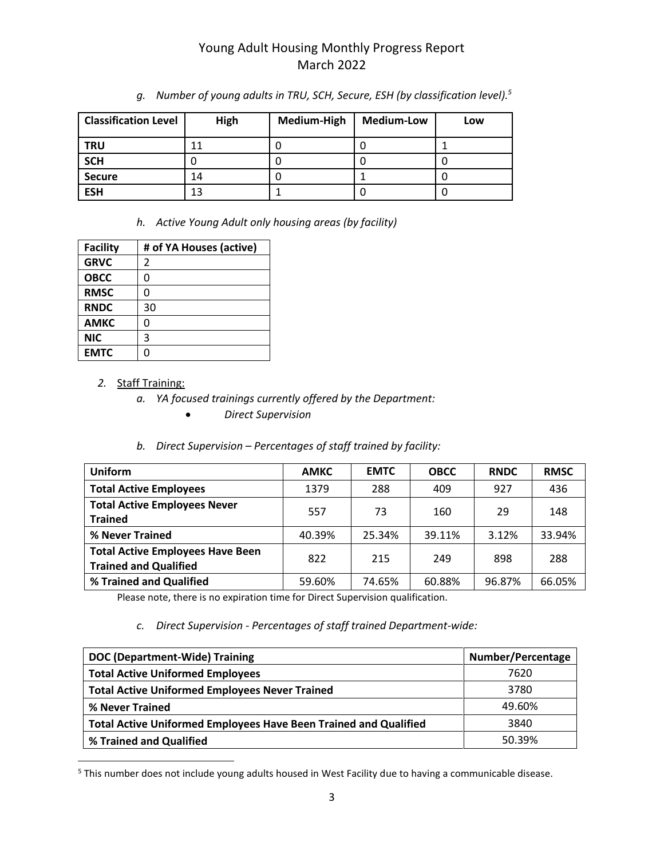| <b>Classification Level</b> | High | Medium-High | <b>Medium-Low</b> | Low |
|-----------------------------|------|-------------|-------------------|-----|
| <b>TRU</b>                  | 11   | J           |                   |     |
| <b>SCH</b>                  |      | U           |                   |     |
| <b>Secure</b>               | 14   |             |                   |     |
| <b>ESH</b>                  | 13   |             |                   |     |

*g. Number of young adults in TRU, SCH, Secure, ESH (by classification level).<sup>5</sup>*

*h. Active Young Adult only housing areas (by facility)*

| <b>Facility</b> | # of YA Houses (active) |
|-----------------|-------------------------|
| <b>GRVC</b>     | 2                       |
| <b>OBCC</b>     | 0                       |
| <b>RMSC</b>     | 0                       |
| <b>RNDC</b>     | 30                      |
| <b>AMKC</b>     | 0                       |
| <b>NIC</b>      | 3                       |
| <b>EMTC</b>     |                         |

### *2.* Staff Training:

- *a. YA focused trainings currently offered by the Department:*
	- *Direct Supervision*

### *b. Direct Supervision – Percentages of staff trained by facility:*

| <b>Uniform</b>                                                          | <b>AMKC</b> | <b>EMTC</b> | <b>OBCC</b> | <b>RNDC</b> | <b>RMSC</b> |
|-------------------------------------------------------------------------|-------------|-------------|-------------|-------------|-------------|
| <b>Total Active Employees</b>                                           | 1379        | 288         | 409         | 927         | 436         |
| <b>Total Active Employees Never</b><br><b>Trained</b>                   | 557         | 73          | 160         | 29          | 148         |
| % Never Trained                                                         | 40.39%      | 25.34%      | 39.11%      | 3.12%       | 33.94%      |
| <b>Total Active Employees Have Been</b><br><b>Trained and Qualified</b> | 822         | 215         | 249         | 898         | 288         |
| % Trained and Qualified                                                 | 59.60%      | 74.65%      | 60.88%      | 96.87%      | 66.05%      |

Please note, there is no expiration time for Direct Supervision qualification.

### *c. Direct Supervision - Percentages of staff trained Department-wide:*

| DOC (Department-Wide) Training                                          | Number/Percentage |
|-------------------------------------------------------------------------|-------------------|
| <b>Total Active Uniformed Employees</b>                                 | 7620              |
| <b>Total Active Uniformed Employees Never Trained</b>                   | 3780              |
| % Never Trained                                                         | 49.60%            |
| <b>Total Active Uniformed Employees Have Been Trained and Qualified</b> | 3840              |
| % Trained and Qualified                                                 | 50.39%            |

<sup>5</sup> This number does not include young adults housed in West Facility due to having a communicable disease.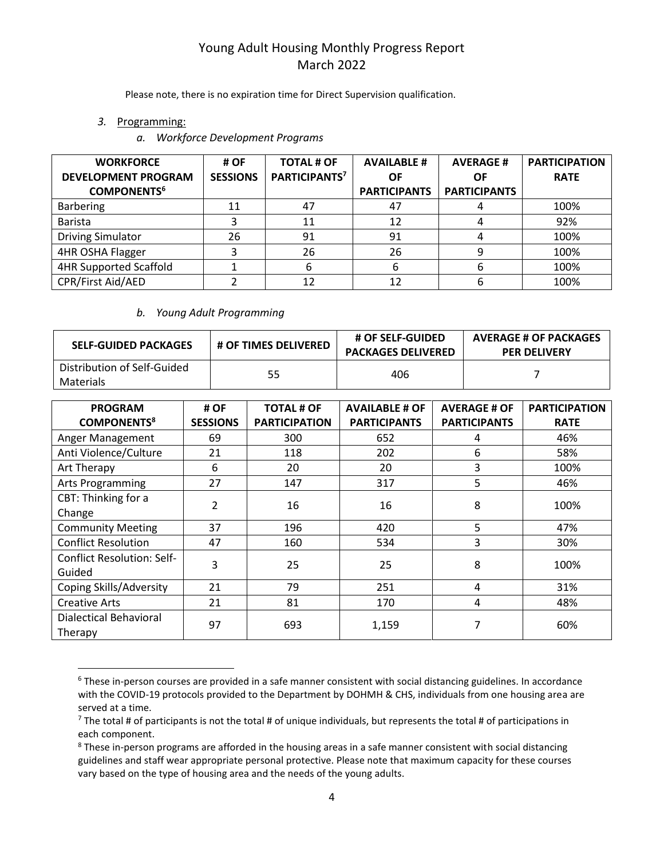Please note, there is no expiration time for Direct Supervision qualification.

- *3.* Programming:
	- *a. Workforce Development Programs*

| <b>WORKFORCE</b><br><b>DEVELOPMENT PROGRAM</b><br><b>COMPONENTS<sup>6</sup></b> | # OF<br><b>SESSIONS</b> | <b>TOTAL # OF</b><br>PARTICIPANTS <sup>7</sup> | <b>AVAILABLE #</b><br>OF<br><b>PARTICIPANTS</b> | <b>AVERAGE#</b><br>ΟF<br><b>PARTICIPANTS</b> | <b>PARTICIPATION</b><br><b>RATE</b> |
|---------------------------------------------------------------------------------|-------------------------|------------------------------------------------|-------------------------------------------------|----------------------------------------------|-------------------------------------|
| <b>Barbering</b>                                                                | 11                      | 47                                             | 47                                              |                                              | 100%                                |
| <b>Barista</b>                                                                  | 3                       | 11                                             | 12                                              |                                              | 92%                                 |
| <b>Driving Simulator</b>                                                        | 26                      | 91                                             | 91                                              |                                              | 100%                                |
| 4HR OSHA Flagger                                                                | 3                       | 26                                             | 26                                              | 9                                            | 100%                                |
| <b>4HR Supported Scaffold</b>                                                   |                         | 6                                              | 6                                               | b                                            | 100%                                |
| CPR/First Aid/AED                                                               |                         | 12                                             | 12                                              | h                                            | 100%                                |

#### *b. Young Adult Programming*

| <b>SELF-GUIDED PACKAGES</b>              | <b># OF TIMES DELIVERED</b> | <b># OF SELF-GUIDED</b><br><b>PACKAGES DELIVERED</b> | <b>AVERAGE # OF PACKAGES</b><br><b>PER DELIVERY</b> |
|------------------------------------------|-----------------------------|------------------------------------------------------|-----------------------------------------------------|
| Distribution of Self-Guided<br>Materials | 55                          | 406                                                  |                                                     |

| <b>PROGRAM</b>                    | # OF            | <b>TOTAL # OF</b>    | <b>AVAILABLE # OF</b> | <b>AVERAGE # OF</b> | <b>PARTICIPATION</b> |
|-----------------------------------|-----------------|----------------------|-----------------------|---------------------|----------------------|
| <b>COMPONENTS<sup>8</sup></b>     | <b>SESSIONS</b> | <b>PARTICIPATION</b> | <b>PARTICIPANTS</b>   | <b>PARTICIPANTS</b> | <b>RATE</b>          |
| Anger Management                  | 69              | 300                  | 652                   | 4                   | 46%                  |
| Anti Violence/Culture             | 21              | 118                  | 202                   | 6                   | 58%                  |
| Art Therapy                       | 6               | 20                   | 20                    | 3                   | 100%                 |
| <b>Arts Programming</b>           | 27              | 147                  | 317                   | 5                   | 46%                  |
| CBT: Thinking for a               | $\overline{2}$  |                      | 16                    | 8                   | 100%                 |
| Change                            |                 | 16                   |                       |                     |                      |
| <b>Community Meeting</b>          | 37              | 196                  | 420                   | 5                   | 47%                  |
| <b>Conflict Resolution</b>        | 47              | 160                  | 534                   | 3                   | 30%                  |
| <b>Conflict Resolution: Self-</b> | 3               | 25                   | 25                    | 8                   | 100%                 |
| Guided                            |                 |                      |                       |                     |                      |
| Coping Skills/Adversity           | 21              | 79                   | 251                   | 4                   | 31%                  |
| <b>Creative Arts</b>              | 21              | 81                   | 170                   | 4                   | 48%                  |
| <b>Dialectical Behavioral</b>     | 97              | 693                  | 1,159                 | 7                   | 60%                  |
| Therapy                           |                 |                      |                       |                     |                      |

<sup>&</sup>lt;sup>6</sup> These in-person courses are provided in a safe manner consistent with social distancing guidelines. In accordance with the COVID-19 protocols provided to the Department by DOHMH & CHS, individuals from one housing area are served at a time.

 $^7$  The total # of participants is not the total # of unique individuals, but represents the total # of participations in each component.

<sup>&</sup>lt;sup>8</sup> These in-person programs are afforded in the housing areas in a safe manner consistent with social distancing guidelines and staff wear appropriate personal protective. Please note that maximum capacity for these courses vary based on the type of housing area and the needs of the young adults.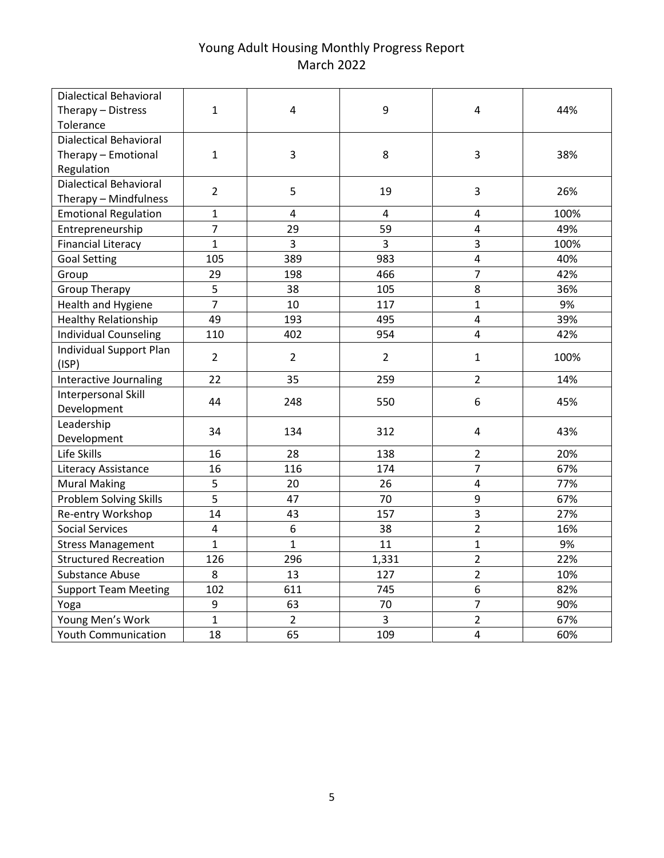| <b>Dialectical Behavioral</b>  |                |                         |                |                |      |
|--------------------------------|----------------|-------------------------|----------------|----------------|------|
| Therapy - Distress             | $\mathbf{1}$   | 4                       | 9              | 4              | 44%  |
| Tolerance                      |                |                         |                |                |      |
| <b>Dialectical Behavioral</b>  |                |                         |                |                |      |
| Therapy - Emotional            | $\mathbf{1}$   | 3                       | 8              | 3              | 38%  |
| Regulation                     |                |                         |                |                |      |
| <b>Dialectical Behavioral</b>  | $\overline{2}$ | 5                       | 19             | 3              | 26%  |
| Therapy - Mindfulness          |                |                         |                |                |      |
| <b>Emotional Regulation</b>    | $\mathbf{1}$   | $\overline{\mathbf{4}}$ | $\overline{4}$ | 4              | 100% |
| Entrepreneurship               | $\overline{7}$ | 29                      | 59             | $\overline{4}$ | 49%  |
| <b>Financial Literacy</b>      | $\mathbf{1}$   | 3                       | 3              | 3              | 100% |
| <b>Goal Setting</b>            | 105            | 389                     | 983            | $\overline{4}$ | 40%  |
| Group                          | 29             | 198                     | 466            | $\overline{7}$ | 42%  |
| <b>Group Therapy</b>           | 5              | 38                      | 105            | 8              | 36%  |
| <b>Health and Hygiene</b>      | $\overline{7}$ | 10                      | 117            | $\mathbf{1}$   | 9%   |
| <b>Healthy Relationship</b>    | 49             | 193                     | 495            | $\overline{4}$ | 39%  |
| <b>Individual Counseling</b>   | 110            | 402                     | 954            | $\overline{4}$ | 42%  |
| <b>Individual Support Plan</b> | $\overline{2}$ | $\overline{2}$          |                | $\mathbf{1}$   | 100% |
| (ISP)                          |                |                         | $\overline{2}$ |                |      |
| Interactive Journaling         | 22             | 35                      | 259            | $\overline{2}$ | 14%  |
| Interpersonal Skill            | 44             | 248                     | 550            | 6              | 45%  |
| Development                    |                |                         |                |                |      |
| Leadership                     | 34             | 134                     | 312            | 4              | 43%  |
| Development                    |                |                         |                |                |      |
| Life Skills                    | 16             | 28                      | 138            | $\overline{2}$ | 20%  |
| Literacy Assistance            | 16             | 116                     | 174            | $\overline{7}$ | 67%  |
| <b>Mural Making</b>            | 5              | 20                      | 26             | $\overline{4}$ | 77%  |
| <b>Problem Solving Skills</b>  | 5              | 47                      | 70             | 9              | 67%  |
| Re-entry Workshop              | 14             | 43                      | 157            | 3              | 27%  |
| <b>Social Services</b>         | 4              | 6                       | 38             | $\overline{2}$ | 16%  |
| <b>Stress Management</b>       | $\mathbf{1}$   | $\mathbf{1}$            | 11             | $\mathbf{1}$   | 9%   |
| <b>Structured Recreation</b>   | 126            | 296                     | 1,331          | $\overline{2}$ | 22%  |
| <b>Substance Abuse</b>         | 8              | 13                      | 127            | $\overline{2}$ | 10%  |
| <b>Support Team Meeting</b>    | 102            | 611                     | 745            | 6              | 82%  |
| Yoga                           | 9              | 63                      | 70             | $\overline{7}$ | 90%  |
| Young Men's Work               | $\mathbf{1}$   | $\overline{2}$          | 3              | $\overline{2}$ | 67%  |
| <b>Youth Communication</b>     | 18             | 65                      | 109            | $\overline{4}$ | 60%  |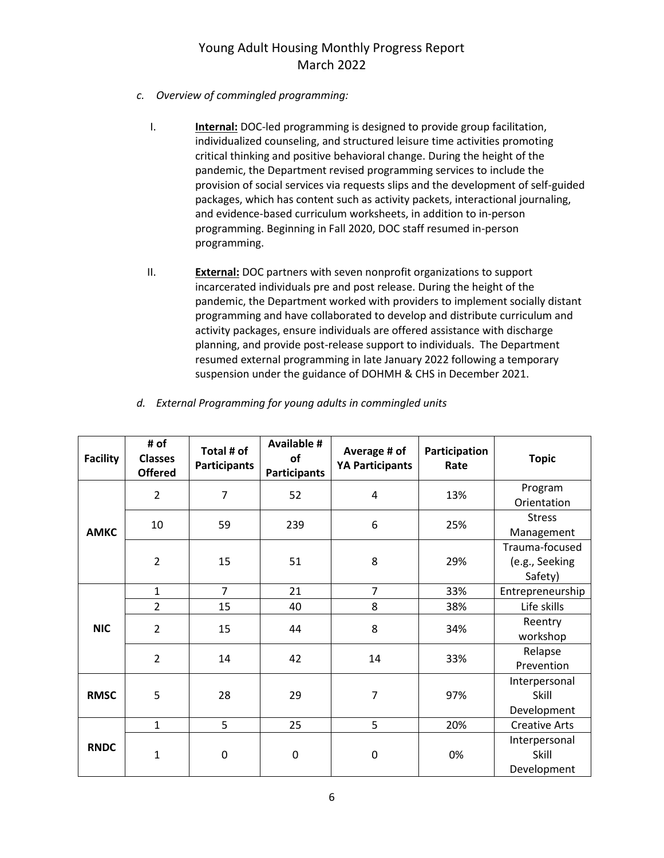- *c. Overview of commingled programming:*
	- I. **Internal:** DOC-led programming is designed to provide group facilitation, individualized counseling, and structured leisure time activities promoting critical thinking and positive behavioral change. During the height of the pandemic, the Department revised programming services to include the provision of social services via requests slips and the development of self-guided packages, which has content such as activity packets, interactional journaling, and evidence-based curriculum worksheets, in addition to in-person programming. Beginning in Fall 2020, DOC staff resumed in-person programming.
	- II. **External:** DOC partners with seven nonprofit organizations to support incarcerated individuals pre and post release. During the height of the pandemic, the Department worked with providers to implement socially distant programming and have collaborated to develop and distribute curriculum and activity packages, ensure individuals are offered assistance with discharge planning, and provide post-release support to individuals. The Department resumed external programming in late January 2022 following a temporary suspension under the guidance of DOHMH & CHS in December 2021.

| <b>Facility</b> | # of<br><b>Classes</b><br><b>Offered</b> | Total # of<br><b>Participants</b> | <b>Available #</b><br>of<br><b>Participants</b> | Average # of<br><b>YA Participants</b> | Participation<br>Rate | <b>Topic</b>                                |
|-----------------|------------------------------------------|-----------------------------------|-------------------------------------------------|----------------------------------------|-----------------------|---------------------------------------------|
|                 | $\overline{2}$                           | $\overline{7}$                    | 52                                              | 4                                      | 13%                   | Program<br>Orientation                      |
| <b>AMKC</b>     | 10                                       | 59                                | 239                                             | 6                                      | 25%                   | <b>Stress</b><br>Management                 |
|                 | $\overline{2}$                           | 15                                | 51                                              | 8                                      | 29%                   | Trauma-focused<br>(e.g., Seeking<br>Safety) |
|                 | $\mathbf{1}$                             | $\overline{7}$                    | 21                                              | $\overline{7}$                         | 33%                   | Entrepreneurship                            |
|                 | $\overline{2}$                           | 15                                | 40                                              | 8                                      | 38%                   | Life skills                                 |
| <b>NIC</b>      | $\overline{2}$                           | 15                                | 44                                              | 8                                      | 34%                   | Reentry<br>workshop                         |
|                 | $\overline{2}$                           | 14                                | 42                                              | 14                                     | 33%                   | Relapse<br>Prevention                       |
| <b>RMSC</b>     | 5                                        | 28                                | 29                                              | 7                                      | 97%                   | Interpersonal<br>Skill<br>Development       |
|                 | $\mathbf{1}$                             | 5                                 | 25                                              | 5                                      | 20%                   | <b>Creative Arts</b>                        |
| <b>RNDC</b>     | 1                                        | 0                                 | 0                                               | 0                                      | 0%                    | Interpersonal<br>Skill<br>Development       |

*d. External Programming for young adults in commingled units*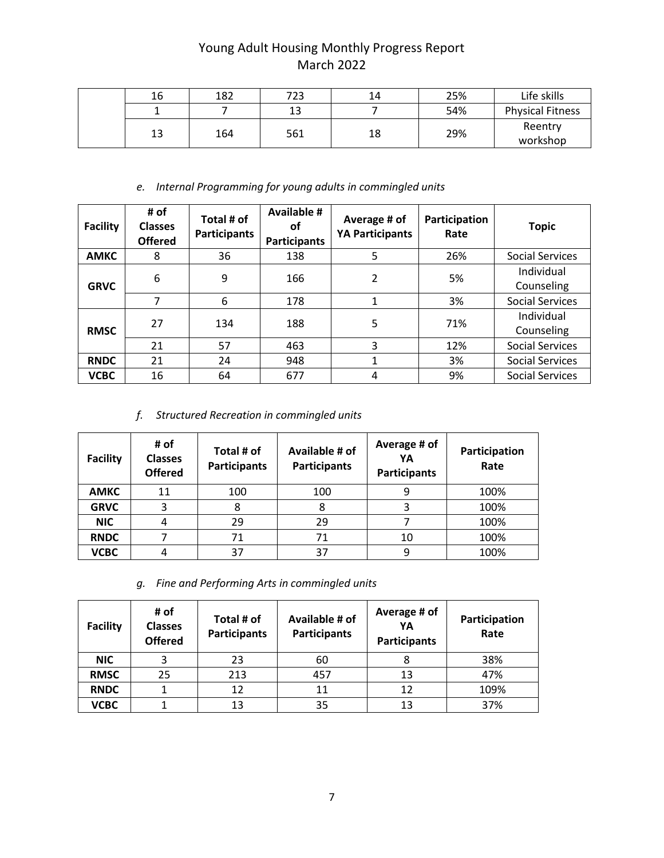| 16 | 182 | 723 | 14 | 25% | Life skills             |
|----|-----|-----|----|-----|-------------------------|
|    |     | 13  |    | 54% | <b>Physical Fitness</b> |
| 13 | 164 | 561 | 18 | 29% | Reentry<br>workshop     |

### *e. Internal Programming for young adults in commingled units*

| <b>Facility</b> | # of<br><b>Classes</b><br><b>Offered</b> | Total # of<br><b>Participants</b> | <b>Available #</b><br>οf<br><b>Participants</b> | Average # of<br><b>YA Participants</b> | Participation<br>Rate | <b>Topic</b>             |
|-----------------|------------------------------------------|-----------------------------------|-------------------------------------------------|----------------------------------------|-----------------------|--------------------------|
| <b>AMKC</b>     | 8                                        | 36                                | 138                                             | 5                                      | 26%                   | <b>Social Services</b>   |
| <b>GRVC</b>     | 6                                        | 9                                 | 166                                             | 2                                      | 5%                    | Individual<br>Counseling |
|                 | 7                                        | 6                                 | 178                                             |                                        | 3%                    | <b>Social Services</b>   |
| <b>RMSC</b>     | 27                                       | 134                               | 188                                             | 5                                      | 71%                   | Individual<br>Counseling |
|                 | 21                                       | 57                                | 463                                             | 3                                      | 12%                   | <b>Social Services</b>   |
| <b>RNDC</b>     | 21                                       | 24                                | 948                                             |                                        | 3%                    | <b>Social Services</b>   |
| <b>VCBC</b>     | 16                                       | 64                                | 677                                             | 4                                      | 9%                    | <b>Social Services</b>   |

*f. Structured Recreation in commingled units*

| <b>Facility</b> | # of<br><b>Classes</b><br><b>Offered</b> | Total # of<br><b>Participants</b> | Available # of<br><b>Participants</b> | Average # of<br>YA<br><b>Participants</b> | Participation<br>Rate |
|-----------------|------------------------------------------|-----------------------------------|---------------------------------------|-------------------------------------------|-----------------------|
| <b>AMKC</b>     | 11                                       | 100                               | 100                                   |                                           | 100%                  |
| <b>GRVC</b>     | 3                                        | 8                                 | 8                                     | 3                                         | 100%                  |
| <b>NIC</b>      | 4                                        | 29                                | 29                                    |                                           | 100%                  |
| <b>RNDC</b>     |                                          | 71                                | 71                                    | 10                                        | 100%                  |
| <b>VCBC</b>     | 4                                        | 37                                | 37                                    |                                           | 100%                  |

*g. Fine and Performing Arts in commingled units*

| <b>Facility</b> | # of<br><b>Classes</b><br><b>Offered</b> | Total # of<br><b>Participants</b> | Available # of<br><b>Participants</b> | Average # of<br>YΑ<br><b>Participants</b> | Participation<br>Rate |
|-----------------|------------------------------------------|-----------------------------------|---------------------------------------|-------------------------------------------|-----------------------|
| <b>NIC</b>      |                                          | 23                                | 60                                    |                                           | 38%                   |
| <b>RMSC</b>     | 25                                       | 213                               | 457                                   | 13                                        | 47%                   |
| <b>RNDC</b>     |                                          | 12                                | 11                                    | 12                                        | 109%                  |
| <b>VCBC</b>     |                                          | 13                                | 35                                    | 13                                        | 37%                   |